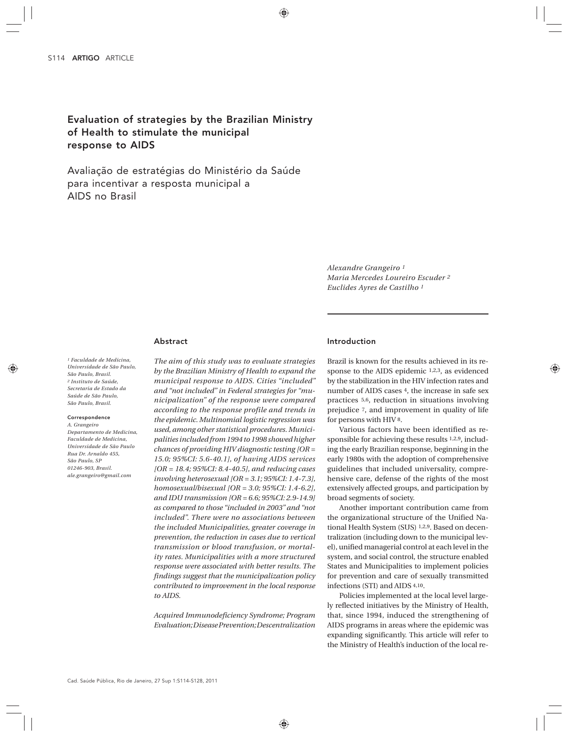# Evaluation of strategies by the Brazilian Ministry of Health to stimulate the municipal response to AIDS

Avaliação de estratégias do Ministério da Saúde para incentivar a resposta municipal a AIDS no Brasil

> *Alexandre Grangeiro 1 Maria Mercedes Loureiro Escuder 2 Euclides Ayres de Castilho 1*

# Abstract

*1 Faculdade de Medicina, Universidade de São Paulo, São Paulo, Brasil. 2 Instituto de Saúde, Secretaria de Estado da Saúde de São Paulo, São Paulo, Brasil.*

# Correspondence

*A. Grangeiro Departamento de Medicina, Faculdade de Medicina, Universidade de São Paulo Rua Dr. Arnaldo 455, São Paulo, SP 01246-903, Brasil. ale.grangeiro@gmail.com*

*The aim of this study was to evaluate strategies by the Brazilian Ministry of Health to expand the municipal response to AIDS. Cities "included" and "not included" in Federal strategies for "municipalization" of the response were compared according to the response profile and trends in the epidemic. Multinomial logistic regression was used, among other statistical procedures. Municipalities included from 1994 to 1998 showed higher chances of providing HIV diagnostic testing [OR = 15.0; 95%CI: 5.6-40.1], of having AIDS services [OR = 18.4; 95%CI: 8.4-40.5], and reducing cases involving heterosexual [OR = 3.1; 95%CI: 1.4-7.3], homosexual/bisexual [OR = 3.0; 95%CI: 1.4-6.2], and IDU transmission [OR = 6.6; 95%CI: 2.9-14.9] as compared to those "included in 2003" and "not included". There were no associations between the included Municipalities, greater coverage in prevention, the reduction in cases due to vertical transmission or blood transfusion, or mortality rates. Municipalities with a more structured response were associated with better results. The findings suggest that the municipalization policy contributed to improvement in the local response to AIDS.*

*Acquired Immunodeficiency Syndrome; Program Evaluation; Disease Prevention; Descentralization*

# Introduction

Brazil is known for the results achieved in its response to the AIDS epidemic 1,2,3, as evidenced by the stabilization in the HIV infection rates and number of AIDS cases 4, the increase in safe sex practices 5,6, reduction in situations involving prejudice 7, and improvement in quality of life for persons with HIV 8.

Various factors have been identified as responsible for achieving these results 1,2,9, including the early Brazilian response, beginning in the early 1980s with the adoption of comprehensive guidelines that included universality, comprehensive care, defense of the rights of the most extensively affected groups, and participation by broad segments of society.

Another important contribution came from the organizational structure of the Unified National Health System (SUS) 1,2,9. Based on decentralization (including down to the municipal level), unified managerial control at each level in the system, and social control, the structure enabled States and Municipalities to implement policies for prevention and care of sexually transmitted infections (STI) and AIDS 4,10.

Policies implemented at the local level largely reflected initiatives by the Ministry of Health, that, since 1994, induced the strengthening of AIDS programs in areas where the epidemic was expanding significantly. This article will refer to the Ministry of Health's induction of the local re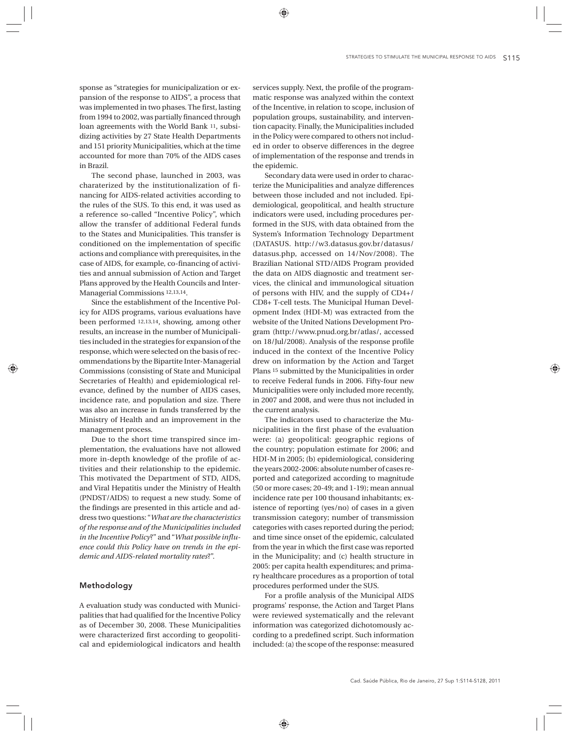sponse as "strategies for municipalization or expansion of the response to AIDS", a process that was implemented in two phases. The first, lasting from 1994 to 2002, was partially financed through loan agreements with the World Bank 11, subsidizing activities by 27 State Health Departments and 151 priority Municipalities, which at the time accounted for more than 70% of the AIDS cases in Brazil.

The second phase, launched in 2003, was charaterized by the institutionalization of financing for AIDS-related activities according to the rules of the SUS. To this end, it was used as a reference so-called "Incentive Policy", which allow the transfer of additional Federal funds to the States and Municipalities. This transfer is conditioned on the implementation of specific actions and compliance with prerequisites, in the case of AIDS, for example, co-financing of activities and annual submission of Action and Target Plans approved by the Health Councils and Inter-Managerial Commissions 12,13,14.

Since the establishment of the Incentive Policy for AIDS programs, various evaluations have been performed 12,13,14, showing, among other results, an increase in the number of Municipalities included in the strategies for expansion of the response, which were selected on the basis of recommendations by the Bipartite Inter-Managerial Commissions (consisting of State and Municipal Secretaries of Health) and epidemiological relevance, defined by the number of AIDS cases, incidence rate, and population and size. There was also an increase in funds transferred by the Ministry of Health and an improvement in the management process.

Due to the short time transpired since implementation, the evaluations have not allowed more in-depth knowledge of the profile of activities and their relationship to the epidemic. This motivated the Department of STD, AIDS, and Viral Hepatitis under the Ministry of Health (PNDST/AIDS) to request a new study. Some of the findings are presented in this article and address two questions: "*What are the characteristics of the response and of the Municipalities included in the Incentive Policy*?" and "*What possible influence could this Policy have on trends in the epidemic and AIDS-related mortality rates*?".

# Methodology

A evaluation study was conducted with Municipalities that had qualified for the Incentive Policy as of December 30, 2008. These Municipalities were characterized first according to geopolitical and epidemiological indicators and health

services supply. Next, the profile of the programmatic response was analyzed within the context of the Incentive, in relation to scope, inclusion of population groups, sustainability, and intervention capacity. Finally, the Municipalities included in the Policy were compared to others not included in order to observe differences in the degree of implementation of the response and trends in the epidemic.

Secondary data were used in order to characterize the Municipalities and analyze differences between those included and not included. Epidemiological, geopolitical, and health structure indicators were used, including procedures performed in the SUS, with data obtained from the System's Information Technology Department (DATASUS. http://w3.datasus.gov.br/datasus/ datasus.php, accessed on 14/Nov/2008). The Brazilian National STD/AIDS Program provided the data on AIDS diagnostic and treatment services, the clinical and immunological situation of persons with HIV, and the supply of CD4+/ CD8+ T-cell tests. The Municipal Human Development Index (HDI-M) was extracted from the website of the United Nations Development Program (http://www.pnud.org.br/atlas/, accessed on 18/Jul/2008). Analysis of the response profile induced in the context of the Incentive Policy drew on information by the Action and Target Plans 15 submitted by the Municipalities in order to receive Federal funds in 2006. Fifty-four new Municipalities were only included more recently, in 2007 and 2008, and were thus not included in the current analysis.

The indicators used to characterize the Municipalities in the first phase of the evaluation were: (a) geopolitical: geographic regions of the country; population estimate for 2006; and HDI-M in 2005; (b) epidemiological, considering the years 2002-2006: absolute number of cases reported and categorized according to magnitude (50 or more cases; 20-49; and 1-19); mean annual incidence rate per 100 thousand inhabitants; existence of reporting (yes/no) of cases in a given transmission category; number of transmission categories with cases reported during the period; and time since onset of the epidemic, calculated from the year in which the first case was reported in the Municipality; and (c) health structure in 2005: per capita health expenditures; and primary healthcare procedures as a proportion of total procedures performed under the SUS.

For a profile analysis of the Municipal AIDS programs' response, the Action and Target Plans were reviewed systematically and the relevant information was categorized dichotomously according to a predefined script. Such information included: (a) the scope of the response: measured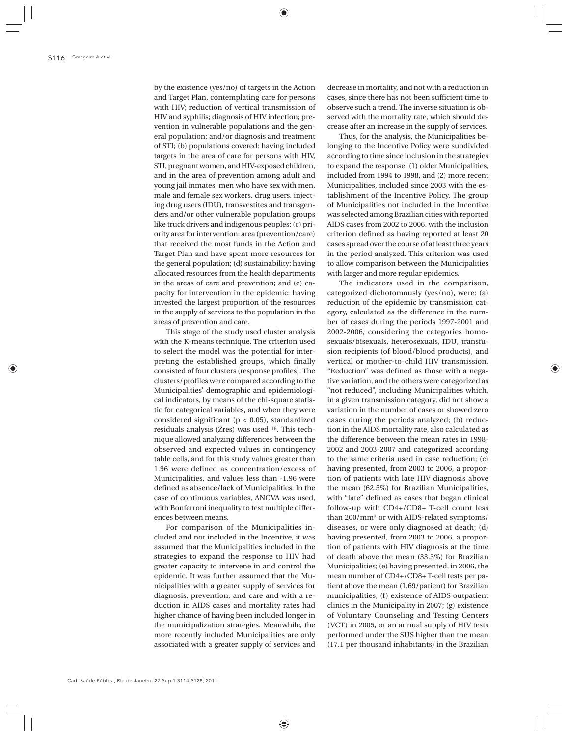by the existence (yes/no) of targets in the Action and Target Plan, contemplating care for persons with HIV; reduction of vertical transmission of HIV and syphilis; diagnosis of HIV infection; prevention in vulnerable populations and the general population; and/or diagnosis and treatment of STI; (b) populations covered: having included targets in the area of care for persons with HIV, STI, pregnant women, and HIV-exposed children, and in the area of prevention among adult and young jail inmates, men who have sex with men, male and female sex workers, drug users, injecting drug users (IDU), transvestites and transgenders and/or other vulnerable population groups like truck drivers and indigenous peoples; (c) priority area for intervention: area (prevention/care) that received the most funds in the Action and Target Plan and have spent more resources for the general population; (d) sustainability: having allocated resources from the health departments in the areas of care and prevention; and (e) capacity for intervention in the epidemic: having invested the largest proportion of the resources in the supply of services to the population in the areas of prevention and care.

This stage of the study used cluster analysis with the K-means technique. The criterion used to select the model was the potential for interpreting the established groups, which finally consisted of four clusters (response profiles). The clusters/profiles were compared according to the Municipalities' demographic and epidemiological indicators, by means of the chi-square statistic for categorical variables, and when they were considered significant (p < 0.05), standardized residuals analysis (Zres) was used 16. This technique allowed analyzing differences between the observed and expected values in contingency table cells, and for this study values greater than 1.96 were defined as concentration/excess of Municipalities, and values less than -1.96 were defined as absence/lack of Municipalities. In the case of continuous variables, ANOVA was used, with Bonferroni inequality to test multiple differences between means.

For comparison of the Municipalities included and not included in the Incentive, it was assumed that the Municipalities included in the strategies to expand the response to HIV had greater capacity to intervene in and control the epidemic. It was further assumed that the Municipalities with a greater supply of services for diagnosis, prevention, and care and with a reduction in AIDS cases and mortality rates had higher chance of having been included longer in the municipalization strategies. Meanwhile, the more recently included Municipalities are only associated with a greater supply of services and decrease in mortality, and not with a reduction in cases, since there has not been sufficient time to observe such a trend. The inverse situation is observed with the mortality rate, which should decrease after an increase in the supply of services.

Thus, for the analysis, the Municipalities belonging to the Incentive Policy were subdivided according to time since inclusion in the strategies to expand the response: (1) older Municipalities, included from 1994 to 1998, and (2) more recent Municipalities, included since 2003 with the establishment of the Incentive Policy. The group of Municipalities not included in the Incentive was selected among Brazilian cities with reported AIDS cases from 2002 to 2006, with the inclusion criterion defined as having reported at least 20 cases spread over the course of at least three years in the period analyzed. This criterion was used to allow comparison between the Municipalities with larger and more regular epidemics.

The indicators used in the comparison, categorized dichotomously (yes/no), were: (a) reduction of the epidemic by transmission category, calculated as the difference in the number of cases during the periods 1997-2001 and 2002-2006, considering the categories homosexuals/bisexuals, heterosexuals, IDU, transfusion recipients (of blood/blood products), and vertical or mother-to-child HIV transmission. "Reduction" was defined as those with a negative variation, and the others were categorized as "not reduced", including Municipalities which, in a given transmission category, did not show a variation in the number of cases or showed zero cases during the periods analyzed; (b) reduction in the AIDS mortality rate, also calculated as the difference between the mean rates in 1998- 2002 and 2003-2007 and categorized according to the same criteria used in case reduction; (c) having presented, from 2003 to 2006, a proportion of patients with late HIV diagnosis above the mean (62.5%) for Brazilian Municipalities, with "late" defined as cases that began clinical follow-up with CD4+/CD8+ T-cell count less than 200/mm3 or with AIDS-related symptoms/ diseases, or were only diagnosed at death; (d) having presented, from 2003 to 2006, a proportion of patients with HIV diagnosis at the time of death above the mean (33.3%) for Brazilian Municipalities; (e) having presented, in 2006, the mean number of CD4+/CD8+ T-cell tests per patient above the mean (1.69/patient) for Brazilian municipalities; (f) existence of AIDS outpatient clinics in the Municipality in 2007; (g) existence of Voluntary Counseling and Testing Centers (VCT) in 2005, or an annual supply of HIV tests performed under the SUS higher than the mean (17.1 per thousand inhabitants) in the Brazilian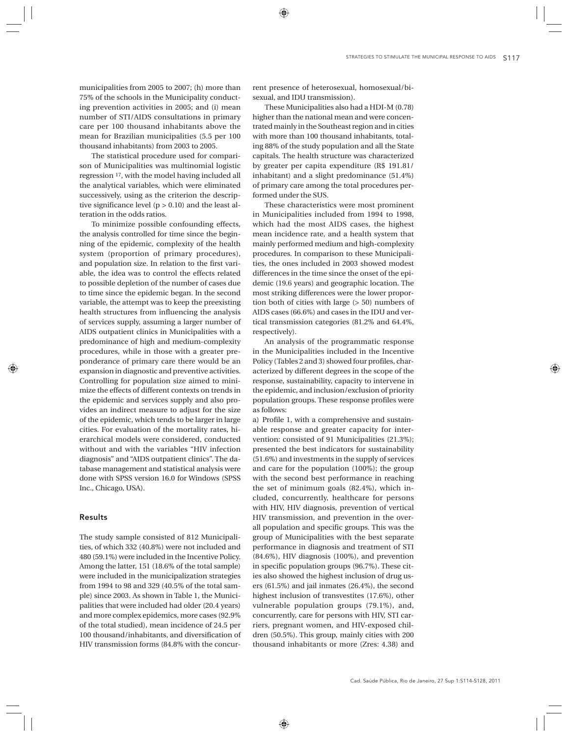municipalities from 2005 to 2007; (h) more than 75% of the schools in the Municipality conducting prevention activities in 2005; and (i) mean number of STI/AIDS consultations in primary care per 100 thousand inhabitants above the mean for Brazilian municipalities (5.5 per 100 thousand inhabitants) from 2003 to 2005.

The statistical procedure used for comparison of Municipalities was multinomial logistic regression 17, with the model having included all the analytical variables, which were eliminated successively, using as the criterion the descriptive significance level  $(p > 0.10)$  and the least alteration in the odds ratios.

To minimize possible confounding effects, the analysis controlled for time since the beginning of the epidemic, complexity of the health system (proportion of primary procedures), and population size. In relation to the first variable, the idea was to control the effects related to possible depletion of the number of cases due to time since the epidemic began. In the second variable, the attempt was to keep the preexisting health structures from influencing the analysis of services supply, assuming a larger number of AIDS outpatient clinics in Municipalities with a predominance of high and medium-complexity procedures, while in those with a greater preponderance of primary care there would be an expansion in diagnostic and preventive activities. Controlling for population size aimed to minimize the effects of different contexts on trends in the epidemic and services supply and also provides an indirect measure to adjust for the size of the epidemic, which tends to be larger in large cities. For evaluation of the mortality rates, hierarchical models were considered, conducted without and with the variables "HIV infection diagnosis" and "AIDS outpatient clinics". The database management and statistical analysis were done with SPSS version 16.0 for Windows (SPSS Inc., Chicago, USA).

# Results

The study sample consisted of 812 Municipalities, of which 332 (40.8%) were not included and 480 (59.1%) were included in the Incentive Policy. Among the latter, 151 (18.6% of the total sample) were included in the municipalization strategies from 1994 to 98 and 329 (40.5% of the total sample) since 2003. As shown in Table 1, the Municipalities that were included had older (20.4 years) and more complex epidemics, more cases (92.9% of the total studied), mean incidence of 24.5 per 100 thousand/inhabitants, and diversification of HIV transmission forms (84.8% with the concurrent presence of heterosexual, homosexual/bisexual, and IDU transmission).

These Municipalities also had a HDI-M (0.78) higher than the national mean and were concentrated mainly in the Southeast region and in cities with more than 100 thousand inhabitants, totaling 88% of the study population and all the State capitals. The health structure was characterized by greater per capita expenditure (R\$ 191.81/ inhabitant) and a slight predominance (51.4%) of primary care among the total procedures performed under the SUS.

These characteristics were most prominent in Municipalities included from 1994 to 1998, which had the most AIDS cases, the highest mean incidence rate, and a health system that mainly performed medium and high-complexity procedures. In comparison to these Municipalities, the ones included in 2003 showed modest differences in the time since the onset of the epidemic (19.6 years) and geographic location. The most striking differences were the lower proportion both of cities with large (> 50) numbers of AIDS cases (66.6%) and cases in the IDU and vertical transmission categories (81.2% and 64.4%, respectively).

An analysis of the programmatic response in the Municipalities included in the Incentive Policy (Tables 2 and 3) showed four profiles, characterized by different degrees in the scope of the response, sustainability, capacity to intervene in the epidemic, and inclusion/exclusion of priority population groups. These response profiles were as follows:

a) Profile 1, with a comprehensive and sustainable response and greater capacity for intervention: consisted of 91 Municipalities (21.3%); presented the best indicators for sustainability (51.6%) and investments in the supply of services and care for the population (100%); the group with the second best performance in reaching the set of minimum goals (82.4%), which included, concurrently, healthcare for persons with HIV, HIV diagnosis, prevention of vertical HIV transmission, and prevention in the overall population and specific groups. This was the group of Municipalities with the best separate performance in diagnosis and treatment of STI (84.6%), HIV diagnosis (100%), and prevention in specific population groups (96.7%). These cities also showed the highest inclusion of drug users (61.5%) and jail inmates (26.4%), the second highest inclusion of transvestites (17.6%), other vulnerable population groups (79.1%), and, concurrently, care for persons with HIV, STI carriers, pregnant women, and HIV-exposed children (50.5%). This group, mainly cities with 200 thousand inhabitants or more (Zres: 4.38) and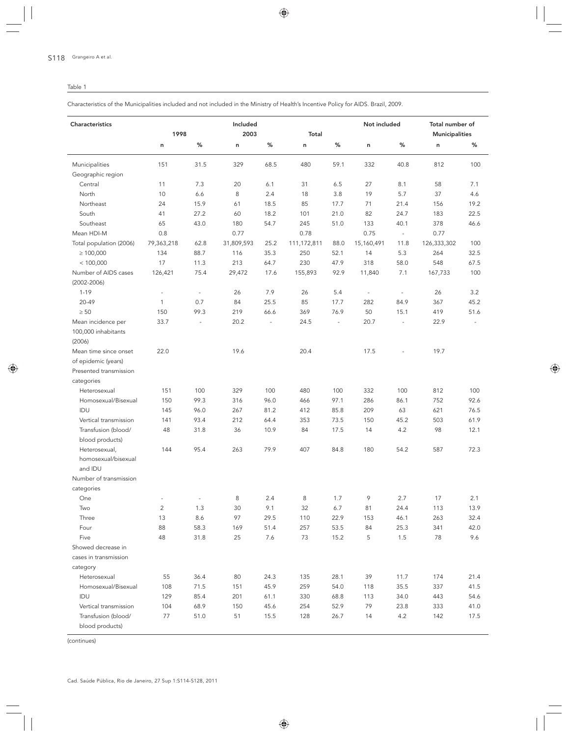# Table 1

Characteristics of the Municipalities included and not included in the Ministry of Health's Incentive Policy for AIDS. Brazil, 2009.

| Characteristics         |                          | 1998                     |            | Included<br>2003 |             |                          | Not included             |                | Total number of<br><b>Municipalities</b> |      |  |
|-------------------------|--------------------------|--------------------------|------------|------------------|-------------|--------------------------|--------------------------|----------------|------------------------------------------|------|--|
|                         | n                        | %                        | n          | %                | Total<br>n  | %                        | n                        | %              | n                                        | %    |  |
| Municipalities          | 151                      | 31.5                     | 329        | 68.5             | 480         | 59.1                     | 332                      | 40.8           | 812                                      | 100  |  |
| Geographic region       |                          |                          |            |                  |             |                          |                          |                |                                          |      |  |
| Central                 | 11                       | 7.3                      | 20         | 6.1              | 31          | 6.5                      | 27                       | 8.1            | 58                                       | 7.1  |  |
| North                   | 10                       | 6.6                      | 8          | 2.4              | 18          | 3.8                      | 19                       | 5.7            | 37                                       | 4.6  |  |
| Northeast               | 24                       | 15.9                     | 61         | 18.5             | 85          | 17.7                     | 71                       | 21.4           | 156                                      | 19.2 |  |
| South                   | 41                       | 27.2                     | 60         | 18.2             | 101         | 21.0                     | 82                       | 24.7           | 183                                      | 22.5 |  |
| Southeast               | 65                       | 43.0                     | 180        | 54.7             | 245         | 51.0                     | 133                      | 40.1           | 378                                      | 46.6 |  |
| Mean HDI-M              | 0.8                      |                          | 0.77       |                  | 0.78        |                          | 0.75                     | $\omega$       | 0.77                                     |      |  |
| Total population (2006) | 79,363,218               | 62.8                     | 31,809,593 | 25.2             | 111,172,811 | 88.0                     | 15,160,491               | 11.8           | 126,333,302                              | 100  |  |
| $\geq 100,000$          | 134                      | 88.7                     | 116        | 35.3             | 250         | 52.1                     | 14                       | 5.3            | 264                                      | 32.5 |  |
| < 100,000               | 17                       | 11.3                     | 213        | 64.7             | 230         | 47.9                     | 318                      | 58.0           | 548                                      | 67.5 |  |
| Number of AIDS cases    | 126,421                  | 75.4                     | 29,472     | 17.6             | 155,893     | 92.9                     | 11,840                   | 7.1            | 167,733                                  | 100  |  |
| $(2002 - 2006)$         |                          |                          |            |                  |             |                          |                          |                |                                          |      |  |
| $1 - 19$                | $\overline{\phantom{a}}$ | $\overline{\phantom{a}}$ | 26         | 7.9              | 26          | 5.4                      | $\overline{\phantom{a}}$ | $\blacksquare$ | 26                                       | 3.2  |  |
| 20-49                   | $\mathbf{1}$             | 0.7                      | 84         | 25.5             | 85          | 17.7                     | 282                      | 84.9           | 367                                      | 45.2 |  |
| $\geq 50$               | 150                      | 99.3                     | 219        | 66.6             | 369         | 76.9                     | 50                       | 15.1           | 419                                      | 51.6 |  |
| Mean incidence per      | 33.7                     | $\sim$                   | 20.2       |                  | 24.5        | $\overline{\phantom{a}}$ | 20.7                     | $\sim$         | 22.9                                     |      |  |
| 100,000 inhabitants     |                          |                          |            |                  |             |                          |                          |                |                                          |      |  |
| (2006)                  |                          |                          |            |                  |             |                          |                          |                |                                          |      |  |
| Mean time since onset   | 22.0                     |                          | 19.6       |                  | 20.4        |                          | 17.5                     |                | 19.7                                     |      |  |
| of epidemic (years)     |                          |                          |            |                  |             |                          |                          |                |                                          |      |  |
| Presented transmission  |                          |                          |            |                  |             |                          |                          |                |                                          |      |  |
| categories              |                          |                          |            |                  |             |                          |                          |                |                                          |      |  |
| Heterosexual            | 151                      | 100                      | 329        | 100              | 480         | 100                      | 332                      | 100            | 812                                      | 100  |  |
| Homosexual/Bisexual     | 150                      | 99.3                     | 316        | 96.0             | 466         | 97.1                     | 286                      | 86.1           | 752                                      | 92.6 |  |
| IDU                     | 145                      | 96.0                     | 267        | 81.2             | 412         | 85.8                     | 209                      | 63             | 621                                      | 76.5 |  |
| Vertical transmission   | 141                      | 93.4                     | 212        | 64.4             | 353         | 73.5                     | 150                      | 45.2           | 503                                      | 61.9 |  |
| Transfusion (blood/     | 48                       | 31.8                     | 36         | 10.9             | 84          | 17.5                     | 14                       | 4.2            | 98                                       | 12.1 |  |
| blood products)         |                          |                          |            |                  |             |                          |                          |                |                                          |      |  |
| Heterosexual,           | 144                      | 95.4                     | 263        | 79.9             | 407         | 84.8                     | 180                      | 54.2           | 587                                      | 72.3 |  |
| homosexual/bisexual     |                          |                          |            |                  |             |                          |                          |                |                                          |      |  |
| and IDU                 |                          |                          |            |                  |             |                          |                          |                |                                          |      |  |
| Number of transmission  |                          |                          |            |                  |             |                          |                          |                |                                          |      |  |
| categories              |                          |                          |            |                  |             |                          |                          |                |                                          |      |  |
| One                     | $\overline{\phantom{a}}$ | $\overline{\phantom{a}}$ | 8          | 2.4              | $\,8\,$     | 1.7                      | 9                        | 2.7            | 17                                       | 2.1  |  |
| Two                     | $\overline{2}$           | 1.3                      | 30         | 9.1              | 32          | 6.7                      | 81                       | 24.4           | 113                                      | 13.9 |  |
| Three                   | 13                       | 8.6                      | 97         | 29.5             | 110         | 22.9                     | 153                      | 46.1           | 263                                      | 32.4 |  |
| Four                    | 88                       | 58.3                     | 169        | 51.4             | 257         | 53.5                     | 84                       | 25.3           | 341                                      | 42.0 |  |
| Five                    | 48                       | 31.8                     | 25         | 7.6              | 73          | 15.2                     | 5                        | 1.5            | 78                                       | 9.6  |  |
| Showed decrease in      |                          |                          |            |                  |             |                          |                          |                |                                          |      |  |
| cases in transmission   |                          |                          |            |                  |             |                          |                          |                |                                          |      |  |
| category                |                          |                          |            |                  |             |                          |                          |                |                                          |      |  |
| Heterosexual            | 55                       | 36.4                     | 80         | 24.3             | 135         | 28.1                     | 39                       | 11.7           | 174                                      | 21.4 |  |
| Homosexual/Bisexual     | 108                      | 71.5                     | 151        | 45.9             | 259         | 54.0                     | 118                      | 35.5           | 337                                      | 41.5 |  |
| IDU                     | 129                      | 85.4                     | 201        | 61.1             | 330         | 68.8                     | 113                      | 34.0           | 443                                      | 54.6 |  |
| Vertical transmission   | 104                      | 68.9                     | 150        | 45.6             | 254         | 52.9                     | 79                       | 23.8           | 333                                      | 41.0 |  |
| Transfusion (blood/     | 77                       | 51.0                     | 51         | 15.5             | 128         | 26.7                     | 14                       | 4.2            | 142                                      | 17.5 |  |
| blood products)         |                          |                          |            |                  |             |                          |                          |                |                                          |      |  |

(continues)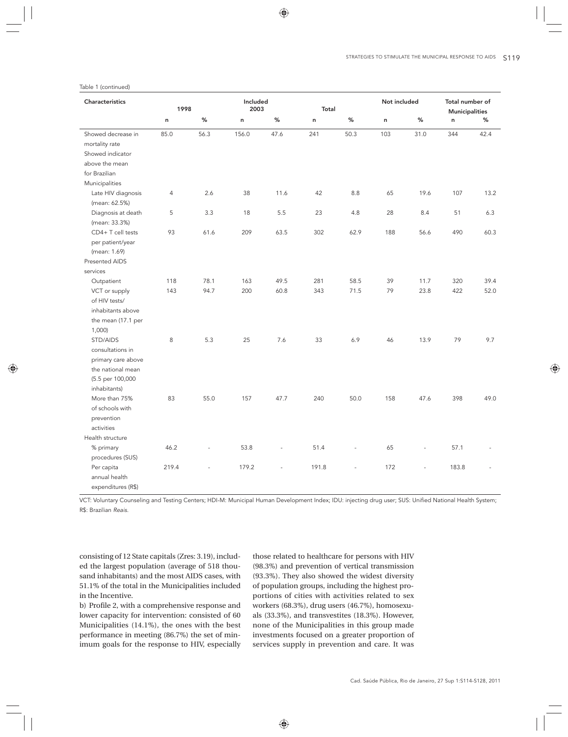### Table 1 (continued)

| Characteristics    | 1998           |           | Included<br>2003 |                          | Total        |                | Not included |                          | Total number of<br><b>Municipalities</b> |      |  |
|--------------------|----------------|-----------|------------------|--------------------------|--------------|----------------|--------------|--------------------------|------------------------------------------|------|--|
|                    | $\sf n$        | $\%$      | n                | %                        | $\mathsf{n}$ | $\%$           | n            | $\%$                     | $\sf n$                                  | %    |  |
| Showed decrease in | 85.0           | 56.3      | 156.0            | 47.6                     | 241          | 50.3           | 103          | 31.0                     | 344                                      | 42.4 |  |
| mortality rate     |                |           |                  |                          |              |                |              |                          |                                          |      |  |
| Showed indicator   |                |           |                  |                          |              |                |              |                          |                                          |      |  |
| above the mean     |                |           |                  |                          |              |                |              |                          |                                          |      |  |
| for Brazilian      |                |           |                  |                          |              |                |              |                          |                                          |      |  |
| Municipalities     |                |           |                  |                          |              |                |              |                          |                                          |      |  |
| Late HIV diagnosis | $\overline{4}$ | 2.6       | 38               | 11.6                     | 42           | 8.8            | 65           | 19.6                     | 107                                      | 13.2 |  |
| (mean: 62.5%)      |                |           |                  |                          |              |                |              |                          |                                          |      |  |
| Diagnosis at death | 5              | 3.3       | 18               | 5.5                      | 23           | 4.8            | 28           | 8.4                      | 51                                       | 6.3  |  |
| (mean: 33.3%)      |                |           |                  |                          |              |                |              |                          |                                          |      |  |
| CD4+ T cell tests  | 93             | 61.6      | 209              | 63.5                     | 302          | 62.9           | 188          | 56.6                     | 490                                      | 60.3 |  |
| per patient/year   |                |           |                  |                          |              |                |              |                          |                                          |      |  |
| (mean: 1.69)       |                |           |                  |                          |              |                |              |                          |                                          |      |  |
| Presented AIDS     |                |           |                  |                          |              |                |              |                          |                                          |      |  |
| services           |                |           |                  |                          |              |                |              |                          |                                          |      |  |
| Outpatient         | 118            | 78.1      | 163              | 49.5                     | 281          | 58.5           | 39           | 11.7                     | 320                                      | 39.4 |  |
| VCT or supply      | 143            | 94.7      | 200              | 60.8                     | 343          | 71.5           | 79           | 23.8                     | 422                                      | 52.0 |  |
| of HIV tests/      |                |           |                  |                          |              |                |              |                          |                                          |      |  |
| inhabitants above  |                |           |                  |                          |              |                |              |                          |                                          |      |  |
| the mean (17.1 per |                |           |                  |                          |              |                |              |                          |                                          |      |  |
| 1,000)             |                |           |                  |                          |              |                |              |                          |                                          |      |  |
| STD/AIDS           | 8              | 5.3       | 25               | 7.6                      | 33           | 6.9            | 46           | 13.9                     | 79                                       | 9.7  |  |
| consultations in   |                |           |                  |                          |              |                |              |                          |                                          |      |  |
| primary care above |                |           |                  |                          |              |                |              |                          |                                          |      |  |
| the national mean  |                |           |                  |                          |              |                |              |                          |                                          |      |  |
| (5.5 per 100,000   |                |           |                  |                          |              |                |              |                          |                                          |      |  |
| inhabitants)       |                |           |                  |                          |              |                |              |                          |                                          |      |  |
| More than 75%      | 83             | 55.0      | 157              | 47.7                     | 240          | 50.0           | 158          | 47.6                     | 398                                      | 49.0 |  |
| of schools with    |                |           |                  |                          |              |                |              |                          |                                          |      |  |
| prevention         |                |           |                  |                          |              |                |              |                          |                                          |      |  |
| activities         |                |           |                  |                          |              |                |              |                          |                                          |      |  |
| Health structure   |                |           |                  |                          |              |                |              |                          |                                          |      |  |
| % primary          | 46.2           | $\bar{a}$ | 53.8             | $\overline{\phantom{a}}$ | 51.4         | $\blacksquare$ | 65           | $\overline{\phantom{a}}$ | 57.1                                     |      |  |
| procedures (SUS)   |                |           |                  |                          |              |                |              |                          |                                          |      |  |
| Per capita         | 219.4          |           | 179.2            |                          | 191.8        |                | 172          | $\overline{a}$           | 183.8                                    |      |  |
| annual health      |                |           |                  |                          |              |                |              |                          |                                          |      |  |
| expenditures (R\$) |                |           |                  |                          |              |                |              |                          |                                          |      |  |

VCT: Voluntary Counseling and Testing Centers; HDI-M: Municipal Human Development Index; IDU: injecting drug user; SUS: Unified National Health System; R\$: Brazilian *Reais*.

consisting of 12 State capitals (Zres: 3.19), included the largest population (average of 518 thousand inhabitants) and the most AIDS cases, with 51.1% of the total in the Municipalities included in the Incentive.

b) Profile 2, with a comprehensive response and lower capacity for intervention: consisted of 60 Municipalities (14.1%), the ones with the best performance in meeting (86.7%) the set of minimum goals for the response to HIV, especially those related to healthcare for persons with HIV (98.3%) and prevention of vertical transmission (93.3%). They also showed the widest diversity of population groups, including the highest proportions of cities with activities related to sex workers (68.3%), drug users (46.7%), homosexuals (33.3%), and transvestites (18.3%). However, none of the Municipalities in this group made investments focused on a greater proportion of services supply in prevention and care. It was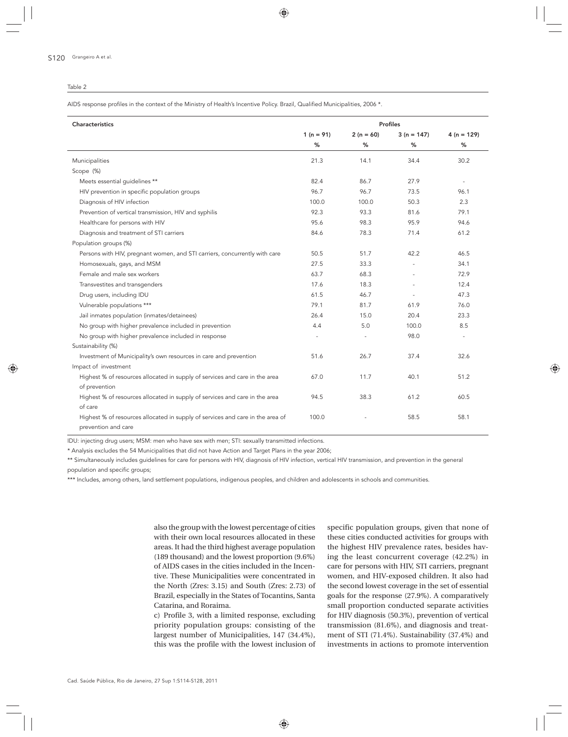#### Table 2

AIDS response profiles in the context of the Ministry of Health's Incentive Policy. Brazil, Qualified Municipalities, 2006 \*.

| Characteristics                                                                | <b>Profiles</b>          |             |                |                          |  |  |  |
|--------------------------------------------------------------------------------|--------------------------|-------------|----------------|--------------------------|--|--|--|
|                                                                                | 1 ( $n = 91$ )           | $2(n = 60)$ | $3(n = 147)$   | $4(n = 129)$             |  |  |  |
|                                                                                | %                        | %           | ℅              | %                        |  |  |  |
| Municipalities                                                                 | 21.3                     | 14.1        | 34.4           | 30.2                     |  |  |  |
| Scope (%)                                                                      |                          |             |                |                          |  |  |  |
| Meets essential quidelines **                                                  | 82.4                     | 86.7        | 27.9           | $\sim$                   |  |  |  |
| HIV prevention in specific population groups                                   | 96.7                     | 96.7        | 73.5           | 96.1                     |  |  |  |
| Diagnosis of HIV infection                                                     | 100.0                    | 100.0       | 50.3           | 2.3                      |  |  |  |
| Prevention of vertical transmission, HIV and syphilis                          | 92.3                     | 93.3        | 81.6           | 79.1                     |  |  |  |
| Healthcare for persons with HIV                                                | 95.6                     | 98.3        | 95.9           | 94.6                     |  |  |  |
| Diagnosis and treatment of STI carriers                                        | 84.6                     | 78.3        | 71.4           | 61.2                     |  |  |  |
| Population groups (%)                                                          |                          |             |                |                          |  |  |  |
| Persons with HIV, pregnant women, and STI carriers, concurrently with care     | 50.5                     | 51.7        | 42.2           | 46.5                     |  |  |  |
| Homosexuals, gays, and MSM                                                     | 27.5                     | 33.3        | $\bar{a}$      | 34.1                     |  |  |  |
| Female and male sex workers                                                    | 63.7                     | 68.3        | $\overline{a}$ | 72.9                     |  |  |  |
| Transvestites and transgenders                                                 | 17.6                     | 18.3        | $\overline{a}$ | 12.4                     |  |  |  |
| Drug users, including IDU                                                      | 61.5                     | 46.7        |                | 47.3                     |  |  |  |
| Vulnerable populations ***                                                     | 79.1                     | 81.7        | 61.9           | 76.0                     |  |  |  |
| Jail inmates population (inmates/detainees)                                    | 26.4                     | 15.0        | 20.4           | 23.3                     |  |  |  |
| No group with higher prevalence included in prevention                         | 4.4                      | 5.0         | 100.0          | 8.5                      |  |  |  |
| No group with higher prevalence included in response                           | $\overline{\phantom{a}}$ | $\sim$      | 98.0           | $\overline{\phantom{a}}$ |  |  |  |
| Sustainability (%)                                                             |                          |             |                |                          |  |  |  |
| Investment of Municipality's own resources in care and prevention              | 51.6                     | 26.7        | 37.4           | 32.6                     |  |  |  |
| Impact of investment                                                           |                          |             |                |                          |  |  |  |
| Highest % of resources allocated in supply of services and care in the area    | 67.0                     | 11.7        | 40.1           | 51.2                     |  |  |  |
| of prevention                                                                  |                          |             |                |                          |  |  |  |
| Highest % of resources allocated in supply of services and care in the area    | 94.5                     | 38.3        | 61.2           | 60.5                     |  |  |  |
| of care                                                                        |                          |             |                |                          |  |  |  |
| Highest % of resources allocated in supply of services and care in the area of | 100.0                    |             | 58.5           | 58.1                     |  |  |  |
| prevention and care                                                            |                          |             |                |                          |  |  |  |

IDU: injecting drug users; MSM: men who have sex with men; STI: sexually transmitted infections.

\* Analysis excludes the 54 Municipalities that did not have Action and Target Plans in the year 2006;

\*\* Simultaneously includes guidelines for care for persons with HIV, diagnosis of HIV infection, vertical HIV transmission, and prevention in the general population and specific groups;

\*\*\* Includes, among others, land settlement populations, indigenous peoples, and children and adolescents in schools and communities.

also the group with the lowest percentage of cities with their own local resources allocated in these areas. It had the third highest average population (189 thousand) and the lowest proportion (9.6%) of AIDS cases in the cities included in the Incentive. These Municipalities were concentrated in the North (Zres: 3.15) and South (Zres: 2.73) of Brazil, especially in the States of Tocantins, Santa Catarina, and Roraima.

c) Profile 3, with a limited response, excluding priority population groups: consisting of the largest number of Municipalities, 147 (34.4%), this was the profile with the lowest inclusion of specific population groups, given that none of these cities conducted activities for groups with the highest HIV prevalence rates, besides having the least concurrent coverage (42.2%) in care for persons with HIV, STI carriers, pregnant women, and HIV-exposed children. It also had the second lowest coverage in the set of essential goals for the response (27.9%). A comparatively small proportion conducted separate activities for HIV diagnosis (50.3%), prevention of vertical transmission (81.6%), and diagnosis and treatment of STI (71.4%). Sustainability (37.4%) and investments in actions to promote intervention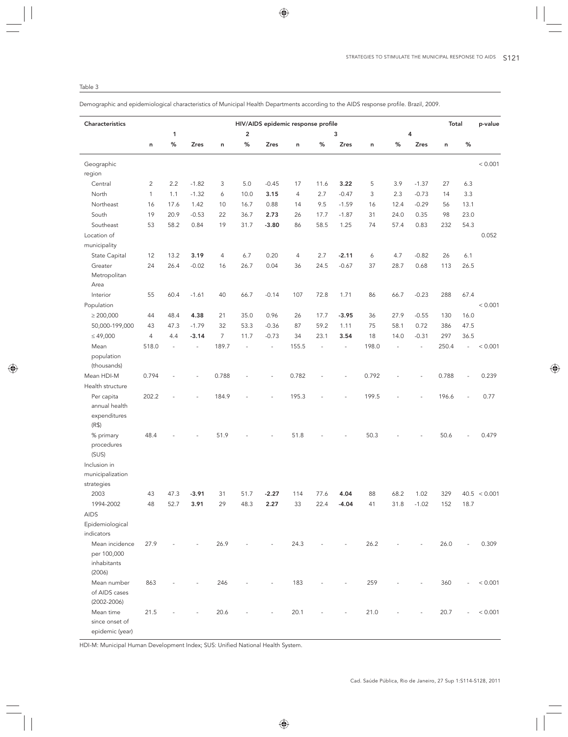Demographic and epidemiological characteristics of Municipal Health Departments according to the AIDS response profile. Brazil, 2009.

| Characteristics                  |                | HIV/AIDS epidemic response profile<br>Total |             |                |                         |                          |       |                |             |       |      |                          |       | p-value                  |              |
|----------------------------------|----------------|---------------------------------------------|-------------|----------------|-------------------------|--------------------------|-------|----------------|-------------|-------|------|--------------------------|-------|--------------------------|--------------|
|                                  |                | 1                                           |             |                | $\overline{\mathbf{c}}$ |                          |       |                | 3           |       | 4    |                          |       |                          |              |
|                                  | n              | %                                           | <b>Zres</b> | n              | %                       | <b>Zres</b>              | n     | %              | <b>Zres</b> | n     | %    | <b>Zres</b>              | n     | $\%$                     |              |
| Geographic                       |                |                                             |             |                |                         |                          |       |                |             |       |      |                          |       |                          | < 0.001      |
| region                           |                |                                             |             |                |                         |                          |       |                |             |       |      |                          |       |                          |              |
| Central                          | $\overline{c}$ | 2.2                                         | $-1.82$     | 3              | 5.0                     | $-0.45$                  | 17    | 11.6           | 3.22        | 5     | 3.9  | $-1.37$                  | 27    | 6.3                      |              |
| North                            | $\mathbf{1}$   | 1.1                                         | $-1.32$     | 6              | 10.0                    | 3.15                     | 4     | 2.7            | $-0.47$     | 3     | 2.3  | $-0.73$                  | 14    | 3.3                      |              |
| Northeast                        | 16             | 17.6                                        | 1.42        | 10             | 16.7                    | 0.88                     | 14    | 9.5            | $-1.59$     | 16    | 12.4 | $-0.29$                  | 56    | 13.1                     |              |
| South                            | 19             | 20.9                                        | $-0.53$     | 22             | 36.7                    | 2.73                     | 26    | 17.7           | $-1.87$     | 31    | 24.0 | 0.35                     | 98    | 23.0                     |              |
| Southeast                        | 53             | 58.2                                        | 0.84        | 19             | 31.7                    | $-3.80$                  | 86    | 58.5           | 1.25        | 74    | 57.4 | 0.83                     | 232   | 54.3                     |              |
| Location of                      |                |                                             |             |                |                         |                          |       |                |             |       |      |                          |       |                          | 0.052        |
| municipality                     |                |                                             |             |                |                         |                          |       |                |             |       |      |                          |       |                          |              |
| State Capital                    | 12             | 13.2                                        | 3.19        | $\overline{4}$ | 6.7                     | 0.20                     | 4     | 2.7            | $-2.11$     | 6     | 4.7  | $-0.82$                  | 26    | 6.1                      |              |
| Greater                          | 24             | 26.4                                        | $-0.02$     | 16             | 26.7                    | 0.04                     | 36    | 24.5           | $-0.67$     | 37    | 28.7 | 0.68                     | 113   | 26.5                     |              |
| Metropolitan                     |                |                                             |             |                |                         |                          |       |                |             |       |      |                          |       |                          |              |
| Area                             |                |                                             |             |                |                         |                          |       |                |             |       |      |                          |       |                          |              |
| Interior                         | 55             | 60.4                                        | $-1.61$     | 40             | 66.7                    | $-0.14$                  | 107   | 72.8           | 1.71        | 86    | 66.7 | $-0.23$                  | 288   | 67.4                     |              |
| Population                       |                |                                             |             |                |                         |                          |       |                |             |       |      |                          |       |                          | < 0.001      |
| $\geq 200,000$                   | 44             | 48.4                                        | 4.38        | 21             | 35.0                    | 0.96                     | 26    | 17.7           | $-3.95$     | 36    | 27.9 | $-0.55$                  | 130   | 16.0                     |              |
| 50,000-199,000                   | 43             | 47.3                                        | $-1.79$     | 32             | 53.3                    | $-0.36$                  | 87    | 59.2           | 1.11        | 75    | 58.1 | 0.72                     | 386   | 47.5                     |              |
| $\leq 49,000$                    | $\overline{4}$ | 4.4                                         | $-3.14$     | $\overline{7}$ | 11.7                    | $-0.73$                  | 34    | 23.1           | 3.54        | 18    | 14.0 | $-0.31$                  | 297   | 36.5                     |              |
| Mean                             | 518.0          | $\overline{a}$                              |             | 189.7          | ÷,                      |                          | 155.5 | $\overline{a}$ |             | 198.0 |      | $\overline{\phantom{a}}$ | 250.4 | $\overline{\phantom{a}}$ | < 0.001      |
| population                       |                |                                             |             |                |                         |                          |       |                |             |       |      |                          |       |                          |              |
| (thousands)                      |                |                                             |             |                |                         |                          |       |                |             |       |      |                          |       |                          |              |
| Mean HDI-M                       | 0.794          |                                             |             | 0.788          |                         |                          | 0.782 |                |             | 0.792 |      |                          | 0.788 |                          | 0.239        |
| Health structure                 |                |                                             |             |                |                         |                          |       |                |             |       |      |                          |       |                          |              |
| Per capita                       | 202.2          |                                             |             | 184.9          |                         |                          | 195.3 |                |             | 199.5 |      |                          | 196.6 |                          | 0.77         |
| annual health                    |                |                                             |             |                |                         |                          |       |                |             |       |      |                          |       |                          |              |
| expenditures                     |                |                                             |             |                |                         |                          |       |                |             |       |      |                          |       |                          |              |
| (R\$)                            |                |                                             |             |                |                         |                          |       |                |             |       |      |                          |       |                          |              |
| % primary                        | 48.4           |                                             |             | 51.9           |                         |                          | 51.8  |                |             | 50.3  |      |                          | 50.6  |                          | 0.479        |
| procedures                       |                |                                             |             |                |                         |                          |       |                |             |       |      |                          |       |                          |              |
| (SUS)                            |                |                                             |             |                |                         |                          |       |                |             |       |      |                          |       |                          |              |
| Inclusion in                     |                |                                             |             |                |                         |                          |       |                |             |       |      |                          |       |                          |              |
| municipalization                 |                |                                             |             |                |                         |                          |       |                |             |       |      |                          |       |                          |              |
| strategies                       |                |                                             |             |                |                         |                          |       |                |             |       |      |                          |       |                          |              |
| 2003                             | 43             | 47.3                                        | $-3.91$     | 31             | 51.7                    | $-2.27$                  | 114   | 77.6           | 4.04        | 88    | 68.2 | 1.02                     | 329   |                          | 40.5 < 0.001 |
| 1994-2002                        | 48             | 52.7                                        | 3.91        | 29             | 48.3                    | 2.27                     | 33    | 22.4           | $-4.04$     | 41    | 31.8 | $-1.02$                  | 152   | 18.7                     |              |
| <b>AIDS</b>                      |                |                                             |             |                |                         |                          |       |                |             |       |      |                          |       |                          |              |
| Epidemiological                  |                |                                             |             |                |                         |                          |       |                |             |       |      |                          |       |                          |              |
| indicators                       |                |                                             |             |                |                         |                          |       |                |             |       |      |                          |       |                          |              |
| Mean incidence                   | 27.9           |                                             |             | 26.9           |                         |                          | 24.3  |                |             | 26.2  |      |                          | 26.0  |                          | 0.309        |
| per 100,000                      |                |                                             |             |                |                         |                          |       |                |             |       |      |                          |       |                          |              |
| inhabitants                      |                |                                             |             |                |                         |                          |       |                |             |       |      |                          |       |                          |              |
| (2006)                           |                |                                             |             |                |                         |                          |       |                |             |       |      |                          |       |                          |              |
| Mean number                      | 863            |                                             |             | 246            |                         |                          | 183   |                |             | 259   |      |                          | 360   |                          | < 0.001      |
| of AIDS cases<br>$(2002 - 2006)$ |                |                                             |             |                |                         |                          |       |                |             |       |      |                          |       |                          |              |
| Mean time                        | 21.5           |                                             |             | 20.6           |                         | $\overline{\phantom{a}}$ | 20.1  |                |             | 21.0  |      |                          | 20.7  |                          | < 0.001      |
| since onset of                   |                |                                             |             |                |                         |                          |       |                |             |       |      |                          |       |                          |              |
| epidemic (year)                  |                |                                             |             |                |                         |                          |       |                |             |       |      |                          |       |                          |              |
|                                  |                |                                             |             |                |                         |                          |       |                |             |       |      |                          |       |                          |              |

HDI-M: Municipal Human Development Index; SUS: Unified National Health System.

Table 3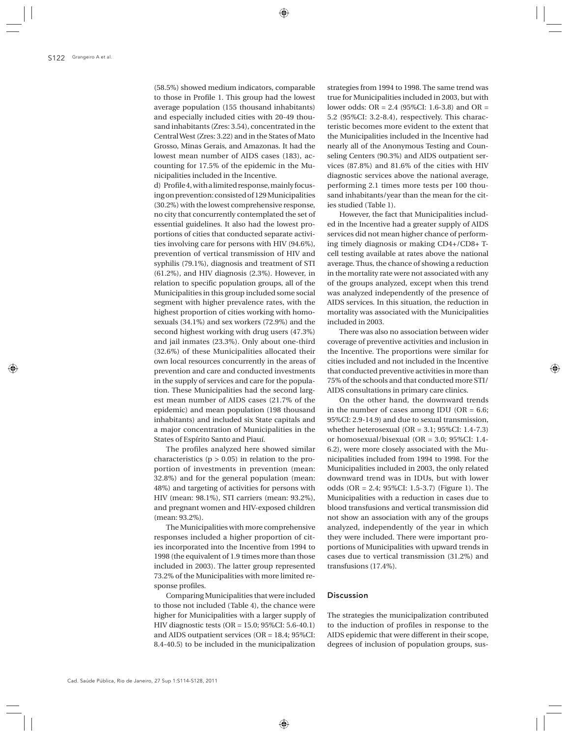(58.5%) showed medium indicators, comparable to those in Profile 1. This group had the lowest average population (155 thousand inhabitants) and especially included cities with 20-49 thousand inhabitants (Zres: 3.54), concentrated in the Central West (Zres: 3.22) and in the States of Mato Grosso, Minas Gerais, and Amazonas. It had the lowest mean number of AIDS cases (183), accounting for 17.5% of the epidemic in the Municipalities included in the Incentive.

d) Profile 4, with a limited response, mainly focusing on prevention: consisted of 129 Municipalities (30.2%) with the lowest comprehensive response, no city that concurrently contemplated the set of essential guidelines. It also had the lowest proportions of cities that conducted separate activities involving care for persons with HIV (94.6%), prevention of vertical transmission of HIV and syphilis (79.1%), diagnosis and treatment of STI (61.2%), and HIV diagnosis (2.3%). However, in relation to specific population groups, all of the Municipalities in this group included some social segment with higher prevalence rates, with the highest proportion of cities working with homosexuals (34.1%) and sex workers (72.9%) and the second highest working with drug users (47.3%) and jail inmates (23.3%). Only about one-third (32.6%) of these Municipalities allocated their own local resources concurrently in the areas of prevention and care and conducted investments in the supply of services and care for the population. These Municipalities had the second largest mean number of AIDS cases (21.7% of the epidemic) and mean population (198 thousand inhabitants) and included six State capitals and a major concentration of Municipalities in the States of Espírito Santo and Piauí.

The profiles analyzed here showed similar characteristics  $(p > 0.05)$  in relation to the proportion of investments in prevention (mean: 32.8%) and for the general population (mean: 48%) and targeting of activities for persons with HIV (mean: 98.1%), STI carriers (mean: 93.2%), and pregnant women and HIV-exposed children (mean: 93.2%).

The Municipalities with more comprehensive responses included a higher proportion of cities incorporated into the Incentive from 1994 to 1998 (the equivalent of 1.9 times more than those included in 2003). The latter group represented 73.2% of the Municipalities with more limited response profiles.

Comparing Municipalities that were included to those not included (Table 4), the chance were higher for Municipalities with a larger supply of HIV diagnostic tests (OR = 15.0; 95%CI: 5.6-40.1) and AIDS outpatient services (OR = 18.4; 95%CI: 8.4-40.5) to be included in the municipalization

strategies from 1994 to 1998. The same trend was true for Municipalities included in 2003, but with lower odds: OR = 2.4 (95%CI: 1.6-3.8) and OR = 5.2 (95%CI: 3.2-8.4), respectively. This characteristic becomes more evident to the extent that the Municipalities included in the Incentive had nearly all of the Anonymous Testing and Counseling Centers (90.3%) and AIDS outpatient services (87.8%) and 81.6% of the cities with HIV diagnostic services above the national average, performing 2.1 times more tests per 100 thousand inhabitants/year than the mean for the cities studied (Table 1).

However, the fact that Municipalities included in the Incentive had a greater supply of AIDS services did not mean higher chance of performing timely diagnosis or making CD4+/CD8+ Tcell testing available at rates above the national average. Thus, the chance of showing a reduction in the mortality rate were not associated with any of the groups analyzed, except when this trend was analyzed independently of the presence of AIDS services. In this situation, the reduction in mortality was associated with the Municipalities included in 2003.

There was also no association between wider coverage of preventive activities and inclusion in the Incentive. The proportions were similar for cities included and not included in the Incentive that conducted preventive activities in more than 75% of the schools and that conducted more STI/ AIDS consultations in primary care clinics.

On the other hand, the downward trends in the number of cases among IDU (OR = 6.6; 95%CI: 2.9-14.9) and due to sexual transmission, whether heterosexual ( $OR = 3.1$ ; 95%CI: 1.4-7.3) or homosexual/bisexual (OR = 3.0; 95%CI: 1.4- 6.2), were more closely associated with the Municipalities included from 1994 to 1998. For the Municipalities included in 2003, the only related downward trend was in IDUs, but with lower odds (OR = 2.4; 95%CI: 1.5-3.7) (Figure 1). The Municipalities with a reduction in cases due to blood transfusions and vertical transmission did not show an association with any of the groups analyzed, independently of the year in which they were included. There were important proportions of Municipalities with upward trends in cases due to vertical transmission (31.2%) and transfusions (17.4%).

### Discussion

The strategies the municipalization contributed to the induction of profiles in response to the AIDS epidemic that were different in their scope, degrees of inclusion of population groups, sus-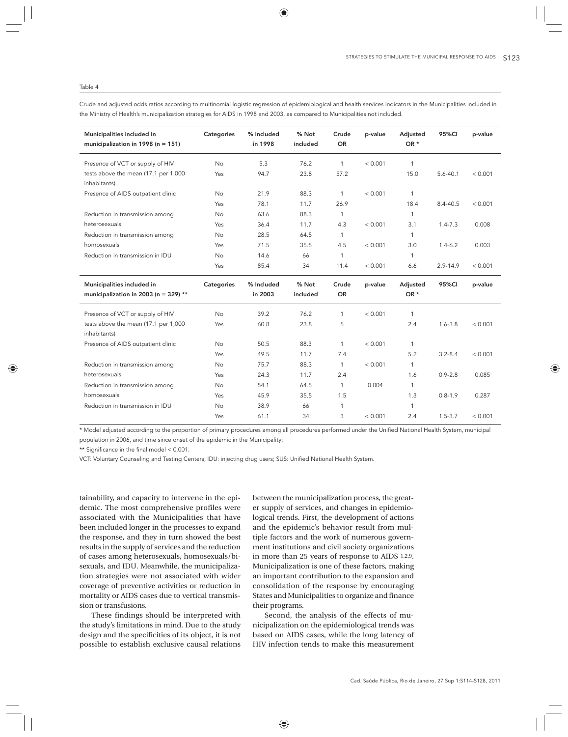### Table 4

Crude and adjusted odds ratios according to multinomial logistic regression of epidemiological and health services indicators in the Municipalities included in the Ministry of Health's municipalization strategies for AIDS in 1998 and 2003, as compared to Municipalities not included.

| Municipalities included in<br>municipalization in 1998 ( $n = 151$ ) | Categories     | % Included<br>in 1998 | % Not<br>included | Crude<br><b>OR</b> | p-value | Adjusted<br>OR * | 95%CI        | p-value |
|----------------------------------------------------------------------|----------------|-----------------------|-------------------|--------------------|---------|------------------|--------------|---------|
| Presence of VCT or supply of HIV                                     | <b>No</b>      | 5.3                   | 76.2              | $\mathbf{1}$       | < 0.001 | $\mathbf{1}$     |              |         |
| tests above the mean (17.1 per 1,000<br>inhabitants)                 | Yes            | 94.7                  | 23.8              | 57.2               |         | 15.0             | $5.6 - 40.1$ | < 0.001 |
| Presence of AIDS outpatient clinic                                   | <b>No</b>      | 21.9                  | 88.3              | 1                  | < 0.001 | $\mathbf{1}$     |              |         |
|                                                                      | Yes            | 78.1                  | 11.7              | 26.9               |         | 18.4             | 8.4-40.5     | < 0.001 |
| Reduction in transmission among                                      | No             | 63.6                  | 88.3              | $\mathbf{1}$       |         | $\mathbf{1}$     |              |         |
| heterosexuals                                                        | Yes            | 36.4                  | 11.7              | 4.3                | < 0.001 | 3.1              | $1.4 - 7.3$  | 0.008   |
| Reduction in transmission among                                      | <b>No</b>      | 28.5                  | 64.5              | $\mathbf{1}$       |         | $\mathbf{1}$     |              |         |
| homosexuals                                                          | Yes            | 71.5                  | 35.5              | 4.5                | < 0.001 | 3.0              | $1.4 - 6.2$  | 0.003   |
| Reduction in transmission in IDU                                     | <b>No</b>      | 14.6                  | 66                | $\mathbf{1}$       |         | $\mathbf{1}$     |              |         |
|                                                                      | Yes            | 85.4                  | 34                | 11.4               | < 0.001 | 6.6              | $2.9 - 14.9$ | < 0.001 |
| Municipalities included in                                           | Categories     | % Included            | % Not             | Crude              | p-value | Adjusted         | 95%CI        | p-value |
| municipalization in 2003 (n = 329) **                                |                | in 2003               | included          | <b>OR</b>          |         | OR *             |              |         |
| Presence of VCT or supply of HIV                                     | <b>No</b>      | 39.2                  | 76.2              | $\mathbf{1}$       | < 0.001 | $\mathbf{1}$     |              |         |
| tests above the mean (17.1 per 1,000<br>inhabitants)                 | Yes            | 60.8                  | 23.8              | 5                  |         | 2.4              | $1.6 - 3.8$  | < 0.001 |
| Presence of AIDS outpatient clinic                                   | <b>No</b>      | 50.5                  | 88.3              | $\mathbf{1}$       | < 0.001 | $\mathbf{1}$     |              |         |
|                                                                      | Yes            | 49.5                  | 11.7              | 7.4                |         | 5.2              | $3.2 - 8.4$  | < 0.001 |
| Reduction in transmission among                                      | No             | 75.7                  | 88.3              | $\mathbf{1}$       | < 0.001 | $\mathbf{1}$     |              |         |
| heterosexuals                                                        | Yes            | 24.3                  | 11.7              | 2.4                |         | 1.6              | $0.9 - 2.8$  | 0.085   |
| Reduction in transmission among                                      | <b>No</b>      | 54.1                  | 64.5              | $\mathbf{1}$       | 0.004   | $\mathbf{1}$     |              |         |
| homosexuals                                                          |                |                       | 35.5              | 1.5                |         | 1.3              | $0.8 - 1.9$  | 0.287   |
|                                                                      | Yes            | 45.9                  |                   |                    |         |                  |              |         |
| Reduction in transmission in IDU                                     | N <sub>o</sub> | 38.9                  | 66                | 1                  |         | $\mathbf{1}$     |              |         |

\* Model adjusted according to the proportion of primary procedures among all procedures performed under the Unified National Health System, municipal population in 2006, and time since onset of the epidemic in the Municipality;

\*\* Significance in the final model < 0.001.

VCT: Voluntary Counseling and Testing Centers; IDU: injecting drug users; SUS: Unified National Health System.

tainability, and capacity to intervene in the epidemic. The most comprehensive profiles were associated with the Municipalities that have been included longer in the processes to expand the response, and they in turn showed the best results in the supply of services and the reduction of cases among heterosexuals, homosexuals/bisexuals, and IDU. Meanwhile, the municipalization strategies were not associated with wider coverage of preventive activities or reduction in mortality or AIDS cases due to vertical transmission or transfusions.

These findings should be interpreted with the study's limitations in mind. Due to the study design and the specificities of its object, it is not possible to establish exclusive causal relations

between the municipalization process, the greater supply of services, and changes in epidemiological trends. First, the development of actions and the epidemic's behavior result from multiple factors and the work of numerous government institutions and civil society organizations in more than 25 years of response to AIDS 1,2,9. Municipalization is one of these factors, making an important contribution to the expansion and consolidation of the response by encouraging States and Municipalities to organize and finance their programs.

Second, the analysis of the effects of municipalization on the epidemiological trends was based on AIDS cases, while the long latency of HIV infection tends to make this measurement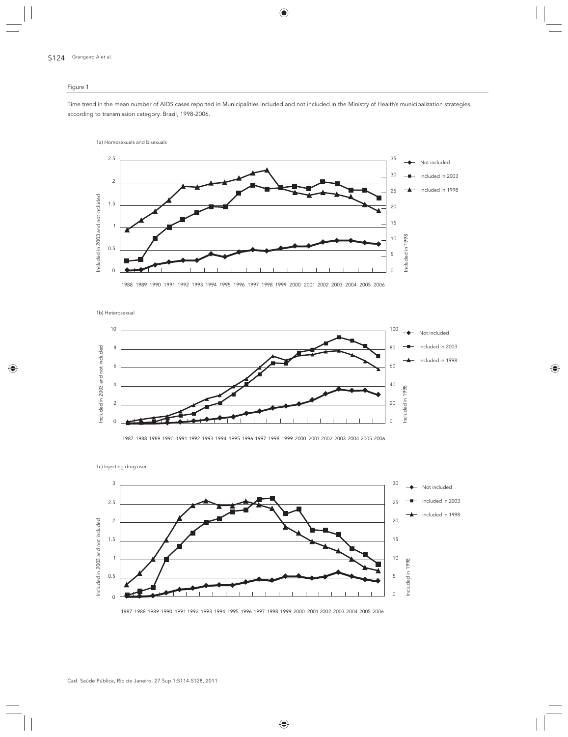# Figure 1

Time trend in the mean number of AIDS cases reported in Municipalities included and not included in the Ministry of Health's municipalization strategies, according to transmission category. Brazil, 1998-2006.

1a) Homosexuals and bisexuals



1988 1989 1990 1991 1992 1993 1994 1995 1996 1997 1998 1999 2000 2001 2002 2003 2004 2005 2006

1b) Heterosexual



1987 1988 1989 1990 1991 1992 1993 1994 1995 1996 1997 1998 1999 2000 2001 2002 2003 2004 2005 2006

3  $30 \rightarrow$  Not included Included in 2003 2.5 25 Included in 1998 2 20 Included in 2003 and not included Included in 2003 and not included 1.5 15 1 10 Included in 1998 Included in 1998 0.5 5  $\overline{0}$ 0

1987 1988 1989 1990 1991 1992 1993 1994 1995 1996 1997 1998 1999 2000 2001 2002 2003 2004 2005 2006

1c) Injecting drug user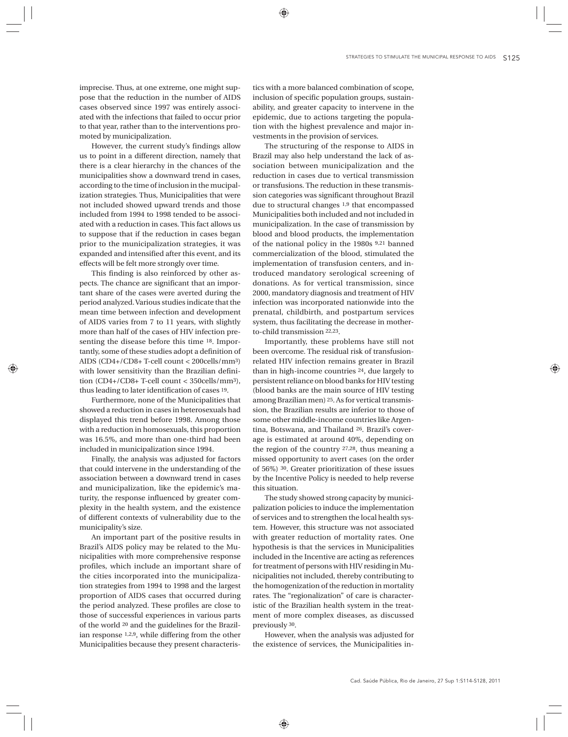imprecise. Thus, at one extreme, one might suppose that the reduction in the number of AIDS cases observed since 1997 was entirely associated with the infections that failed to occur prior to that year, rather than to the interventions promoted by municipalization.

However, the current study's findings allow us to point in a different direction, namely that there is a clear hierarchy in the chances of the municipalities show a downward trend in cases, according to the time of inclusion in the mucipalization strategies. Thus, Municipalities that were not included showed upward trends and those included from 1994 to 1998 tended to be associated with a reduction in cases. This fact allows us to suppose that if the reduction in cases began prior to the municipalization strategies, it was expanded and intensified after this event, and its effects will be felt more strongly over time.

This finding is also reinforced by other aspects. The chance are significant that an important share of the cases were averted during the period analyzed. Various studies indicate that the mean time between infection and development of AIDS varies from 7 to 11 years, with slightly more than half of the cases of HIV infection presenting the disease before this time 18. Importantly, some of these studies adopt a definition of AIDS (CD4+/CD8+ T-cell count < 200cells/mm3) with lower sensitivity than the Brazilian definition (CD4+/CD8+ T-cell count < 350cells/mm3), thus leading to later identification of cases 19.

Furthermore, none of the Municipalities that showed a reduction in cases in heterosexuals had displayed this trend before 1998. Among those with a reduction in homosexuals, this proportion was 16.5%, and more than one-third had been included in municipalization since 1994.

Finally, the analysis was adjusted for factors that could intervene in the understanding of the association between a downward trend in cases and municipalization, like the epidemic's maturity, the response influenced by greater complexity in the health system, and the existence of different contexts of vulnerability due to the municipality's size.

An important part of the positive results in Brazil's AIDS policy may be related to the Municipalities with more comprehensive response profiles, which include an important share of the cities incorporated into the municipalization strategies from 1994 to 1998 and the largest proportion of AIDS cases that occurred during the period analyzed. These profiles are close to those of successful experiences in various parts of the world 20 and the guidelines for the Brazilian response 1,2,9, while differing from the other Municipalities because they present characteris-

tics with a more balanced combination of scope, inclusion of specific population groups, sustainability, and greater capacity to intervene in the epidemic, due to actions targeting the population with the highest prevalence and major investments in the provision of services.

The structuring of the response to AIDS in Brazil may also help understand the lack of association between municipalization and the reduction in cases due to vertical transmission or transfusions. The reduction in these transmission categories was significant throughout Brazil due to structural changes 1,9 that encompassed Municipalities both included and not included in municipalization. In the case of transmission by blood and blood products, the implementation of the national policy in the 1980s 9,21 banned commercialization of the blood, stimulated the implementation of transfusion centers, and introduced mandatory serological screening of donations. As for vertical transmission, since 2000, mandatory diagnosis and treatment of HIV infection was incorporated nationwide into the prenatal, childbirth, and postpartum services system, thus facilitating the decrease in motherto-child transmission 22,23.

Importantly, these problems have still not been overcome. The residual risk of transfusionrelated HIV infection remains greater in Brazil than in high-income countries 24, due largely to persistent reliance on blood banks for HIV testing (blood banks are the main source of HIV testing among Brazilian men) 25. As for vertical transmission, the Brazilian results are inferior to those of some other middle-income countries like Argentina, Botswana, and Thailand 26. Brazil's coverage is estimated at around 40%, depending on the region of the country 27,28, thus meaning a missed opportunity to avert cases (on the order of 56%) 30. Greater prioritization of these issues by the Incentive Policy is needed to help reverse this situation.

The study showed strong capacity by municipalization policies to induce the implementation of services and to strengthen the local health system. However, this structure was not associated with greater reduction of mortality rates. One hypothesis is that the services in Municipalities included in the Incentive are acting as references for treatment of persons with HIV residing in Municipalities not included, thereby contributing to the homogenization of the reduction in mortality rates. The "regionalization" of care is characteristic of the Brazilian health system in the treatment of more complex diseases, as discussed previously 30.

However, when the analysis was adjusted for the existence of services, the Municipalities in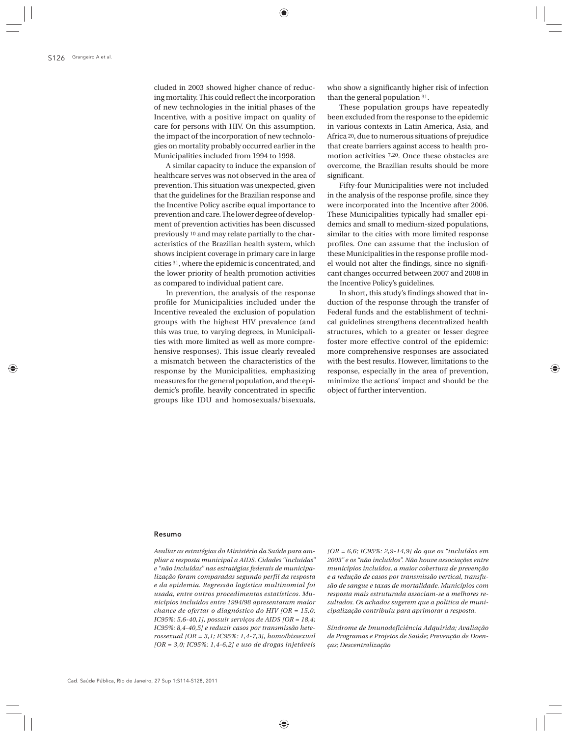cluded in 2003 showed higher chance of reducing mortality. This could reflect the incorporation of new technologies in the initial phases of the Incentive, with a positive impact on quality of care for persons with HIV. On this assumption, the impact of the incorporation of new technologies on mortality probably occurred earlier in the Municipalities included from 1994 to 1998.

A similar capacity to induce the expansion of healthcare serves was not observed in the area of prevention. This situation was unexpected, given that the guidelines for the Brazilian response and the Incentive Policy ascribe equal importance to prevention and care. The lower degree of development of prevention activities has been discussed previously 10 and may relate partially to the characteristics of the Brazilian health system, which shows incipient coverage in primary care in large cities 31, where the epidemic is concentrated, and the lower priority of health promotion activities as compared to individual patient care.

In prevention, the analysis of the response profile for Municipalities included under the Incentive revealed the exclusion of population groups with the highest HIV prevalence (and this was true, to varying degrees, in Municipalities with more limited as well as more comprehensive responses). This issue clearly revealed a mismatch between the characteristics of the response by the Municipalities, emphasizing measures for the general population, and the epidemic's profile, heavily concentrated in specific groups like IDU and homosexuals/bisexuals, who show a significantly higher risk of infection than the general population 31.

These population groups have repeatedly been excluded from the response to the epidemic in various contexts in Latin America, Asia, and Africa 20, due to numerous situations of prejudice that create barriers against access to health promotion activities 7,20. Once these obstacles are overcome, the Brazilian results should be more significant.

Fifty-four Municipalities were not included in the analysis of the response profile, since they were incorporated into the Incentive after 2006. These Municipalities typically had smaller epidemics and small to medium-sized populations, similar to the cities with more limited response profiles. One can assume that the inclusion of these Municipalities in the response profile model would not alter the findings, since no significant changes occurred between 2007 and 2008 in the Incentive Policy's guidelines.

In short, this study's findings showed that induction of the response through the transfer of Federal funds and the establishment of technical guidelines strengthens decentralized health structures, which to a greater or lesser degree foster more effective control of the epidemic: more comprehensive responses are associated with the best results. However, limitations to the response, especially in the area of prevention, minimize the actions' impact and should be the object of further intervention.

#### Resumo

*Avaliar as estratégias do Ministério da Saúde para ampliar a resposta municipal a AIDS. Cidades "incluídas" e "não incluídas" nas estratégias federais de municipalização foram comparadas segundo perfil da resposta e da epidemia. Regressão logística multinomial foi usada, entre outros procedimentos estatísticos. Municípios incluídos entre 1994/98 apresentaram maior chance de ofertar o diagnóstico do HIV [OR = 15,0; IC95%: 5,6-40,1], possuir serviços de AIDS [OR = 18,4; IC95%: 8,4-40,5] e reduzir casos por transmissão heterossexual [OR = 3,1; IC95%: 1,4-7,3], homo/bissexual [OR = 3,0; IC95%: 1,4-6,2] e uso de drogas injetáveis* 

*[OR = 6,6; IC95%: 2,9-14,9] do que os "incluídos em 2003" e os "não incluídos". Não houve associações entre municípios incluídos, a maior cobertura de prevenção e a redução de casos por transmissão vertical, transfusão de sangue e taxas de mortalidade. Municípios com resposta mais estruturada associam-se a melhores resultados. Os achados sugerem que a política de municipalização contribuiu para aprimorar a resposta.*

*Síndrome de Imunodeficiência Adquirida; Avaliação de Programas e Projetos de Saúde; Prevenção de Doenças; Descentralização*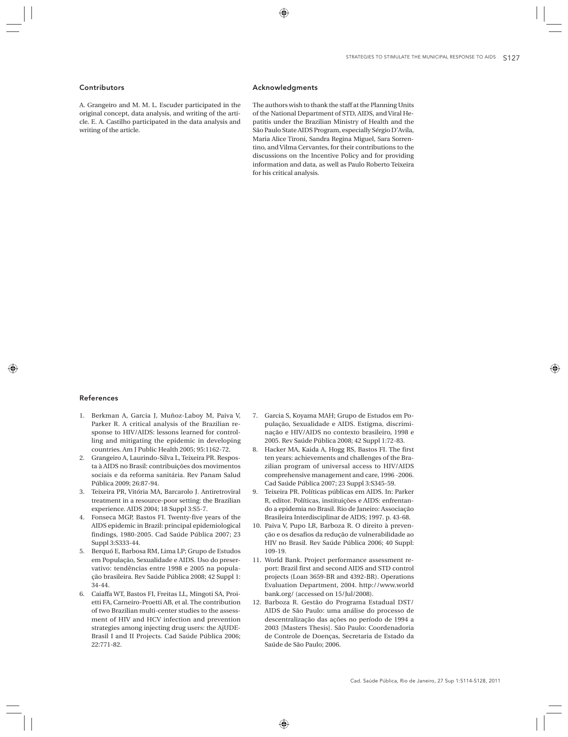# **Contributors**

A. Grangeiro and M. M. L. Escuder participated in the original concept, data analysis, and writing of the article. E. A. Castilho participated in the data analysis and writing of the article.

# Acknowledgments

The authors wish to thank the staff at the Planning Units of the National Department of STD, AIDS, and Viral Hepatitis under the Brazilian Ministry of Health and the São Paulo State AIDS Program, especially Sérgio D'Avila, Maria Alice Tironi, Sandra Regina Miguel, Sara Sorrentino, and Vilma Cervantes, for their contributions to the discussions on the Incentive Policy and for providing information and data, as well as Paulo Roberto Teixeira for his critical analysis.

### References

- 1. Berkman A, Garcia J, Muñoz-Laboy M, Paiva V, Parker R. A critical analysis of the Brazilian response to HIV/AIDS: lessons learned for controlling and mitigating the epidemic in developing countries. Am J Public Health 2005; 95:1162-72.
- 2. Grangeiro A, Laurindo-Silva L, Teixeira PR. Resposta à AIDS no Brasil: contribuições dos movimentos sociais e da reforma sanitária. Rev Panam Salud Pública 2009; 26:87-94.
- 3. Teixeira PR, Vitória MA, Barcarolo J. Antiretroviral treatment in a resource-poor setting: the Brazilian experience. AIDS 2004; 18 Suppl 3:S5-7.
- 4. Fonseca MGP, Bastos FI. Twenty-five years of the AIDS epidemic in Brazil: principal epidemiological findings, 1980-2005. Cad Saúde Pública 2007; 23 Suppl 3:S333-44.
- 5. Berquó E, Barbosa RM, Lima LP; Grupo de Estudos em População, Sexualidade e AIDS. Uso do preservativo: tendências entre 1998 e 2005 na população brasileira. Rev Saúde Pública 2008; 42 Suppl 1: 34-44.
- 6. Caiaffa WT, Bastos FI, Freitas LL, Mingoti SA, Proietti FA, Carneiro-Proetti AB, et al. The contribution of two Brazilian multi-center studies to the assessment of HIV and HCV infection and prevention strategies among injecting drug users: the AjUDE-Brasil I and II Projects. Cad Saúde Pública 2006; 22:771-82.
- 7. Garcia S, Koyama MAH; Grupo de Estudos em População, Sexualidade e AIDS. Estigma, discriminação e HIV/AIDS no contexto brasileiro, 1998 e 2005. Rev Saúde Pública 2008; 42 Suppl 1:72-83.
- 8. Hacker MA, Kaida A, Hogg RS, Bastos FI. The first ten years: achievements and challenges of the Brazilian program of universal access to HIV/AIDS comprehensive management and care, 1996 -2006. Cad Saúde Pública 2007; 23 Suppl 3:S345-59.
- 9. Teixeira PR. Políticas públicas em AIDS. In: Parker R, editor. Políticas, instituições e AIDS: enfrentando a epidemia no Brasil. Rio de Janeiro: Associação Brasileira Interdisciplinar de AIDS; 1997. p. 43-68.
- 10. Paiva V, Pupo LR, Barboza R. O direito à prevenção e os desafios da redução de vulnerabilidade ao HIV no Brasil. Rev Saúde Pública 2006; 40 Suppl: 109-19.
- 11. World Bank. Project performance assessment report: Brazil first and second AIDS and STD control projects (Loan 3659-BR and 4392-BR). Operations Evaluation Department, 2004. http://www.world bank.org/ (accessed on 15/Jul/2008).
- 12. Barboza R. Gestão do Programa Estadual DST/ AIDS de São Paulo: uma análise do processo de descentralização das ações no período de 1994 a 2003 [Masters Thesis]. São Paulo: Coordenadoria de Controle de Doenças, Secretaria de Estado da Saúde de São Paulo; 2006.